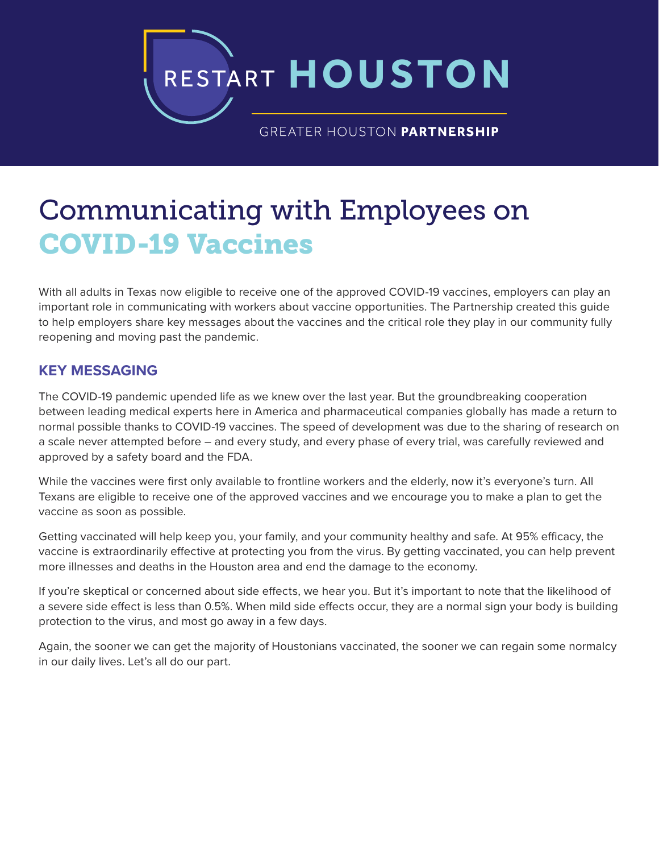RESTART **HOUSTON**

GREATER HOUSTON PARTNERSHIP

# Communicating with Employees on COVID-19 Vaccines

With all adults in Texas now eligible to receive one of the approved COVID-19 vaccines, employers can play an important role in communicating with workers about vaccine opportunities. The Partnership created this guide to help employers share key messages about the vaccines and the critical role they play in our community fully reopening and moving past the pandemic.

# **KEY MESSAGING**

The COVID-19 pandemic upended life as we knew over the last year. But the groundbreaking cooperation between leading medical experts here in America and pharmaceutical companies globally has made a return to normal possible thanks to COVID-19 vaccines. The speed of development was due to the sharing of research on a scale never attempted before – and every study, and every phase of every trial, was carefully reviewed and approved by a safety board and the FDA.

While the vaccines were first only available to frontline workers and the elderly, now it's everyone's turn. All Texans are eligible to receive one of the approved vaccines and we encourage you to make a plan to get the vaccine as soon as possible.

Getting vaccinated will help keep you, your family, and your community healthy and safe. At 95% efficacy, the vaccine is extraordinarily effective at protecting you from the virus. By getting vaccinated, you can help prevent more illnesses and deaths in the Houston area and end the damage to the economy.

If you're skeptical or concerned about side effects, we hear you. But it's important to note that the likelihood of a severe side effect is less than 0.5%. When mild side effects occur, they are a normal sign your body is building protection to the virus, and most go away in a few days.

Again, the sooner we can get the majority of Houstonians vaccinated, the sooner we can regain some normalcy in our daily lives. Let's all do our part.